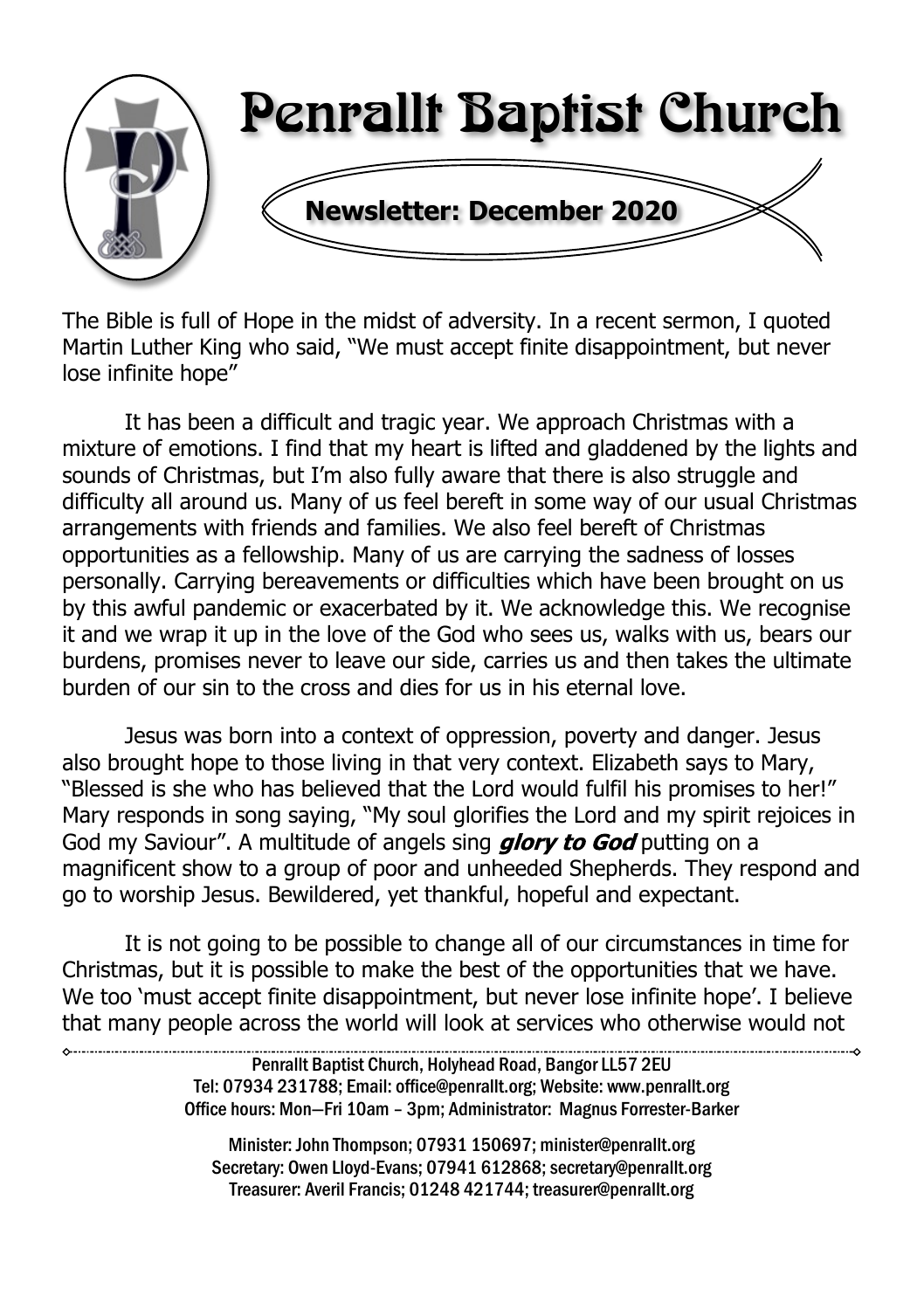

The Bible is full of Hope in the midst of adversity. In a recent sermon, I quoted Martin Luther King who said, "We must accept finite disappointment, but never lose infinite hope"

It has been a difficult and tragic year. We approach Christmas with a mixture of emotions. I find that my heart is lifted and gladdened by the lights and sounds of Christmas, but I'm also fully aware that there is also struggle and difficulty all around us. Many of us feel bereft in some way of our usual Christmas arrangements with friends and families. We also feel bereft of Christmas opportunities as a fellowship. Many of us are carrying the sadness of losses personally. Carrying bereavements or difficulties which have been brought on us by this awful pandemic or exacerbated by it. We acknowledge this. We recognise it and we wrap it up in the love of the God who sees us, walks with us, bears our burdens, promises never to leave our side, carries us and then takes the ultimate burden of our sin to the cross and dies for us in his eternal love.

Jesus was born into a context of oppression, poverty and danger. Jesus also brought hope to those living in that very context. Elizabeth says to Mary, "Blessed is she who has believed that the Lord would fulfil his promises to her!" Mary responds in song saying, "My soul glorifies the Lord and my spirit rejoices in God my Saviour". A multitude of angels sing *glory to God* putting on a magnificent show to a group of poor and unheeded Shepherds. They respond and go to worship Jesus. Bewildered, yet thankful, hopeful and expectant.

It is not going to be possible to change all of our circumstances in time for Christmas, but it is possible to make the best of the opportunities that we have. We too 'must accept finite disappointment, but never lose infinite hope'. I believe that many people across the world will look at services who otherwise would not

> Penrallt Baptist Church, Holyhead Road, Bangor LL57 2EU Tel: 07934 231788; Email: office@penrallt.org; Website: www.penrallt.org Office hours: Mon—Fri 10am – 3pm; Administrator: Magnus Forrester-Barker

Minister: John Thompson; 07931 150697; minister@penrallt.org Secretary: Owen Lloyd-Evans; 07941 612868; secretary@penrallt.org Treasurer: Averil Francis; 01248 421744; treasurer@penrallt.org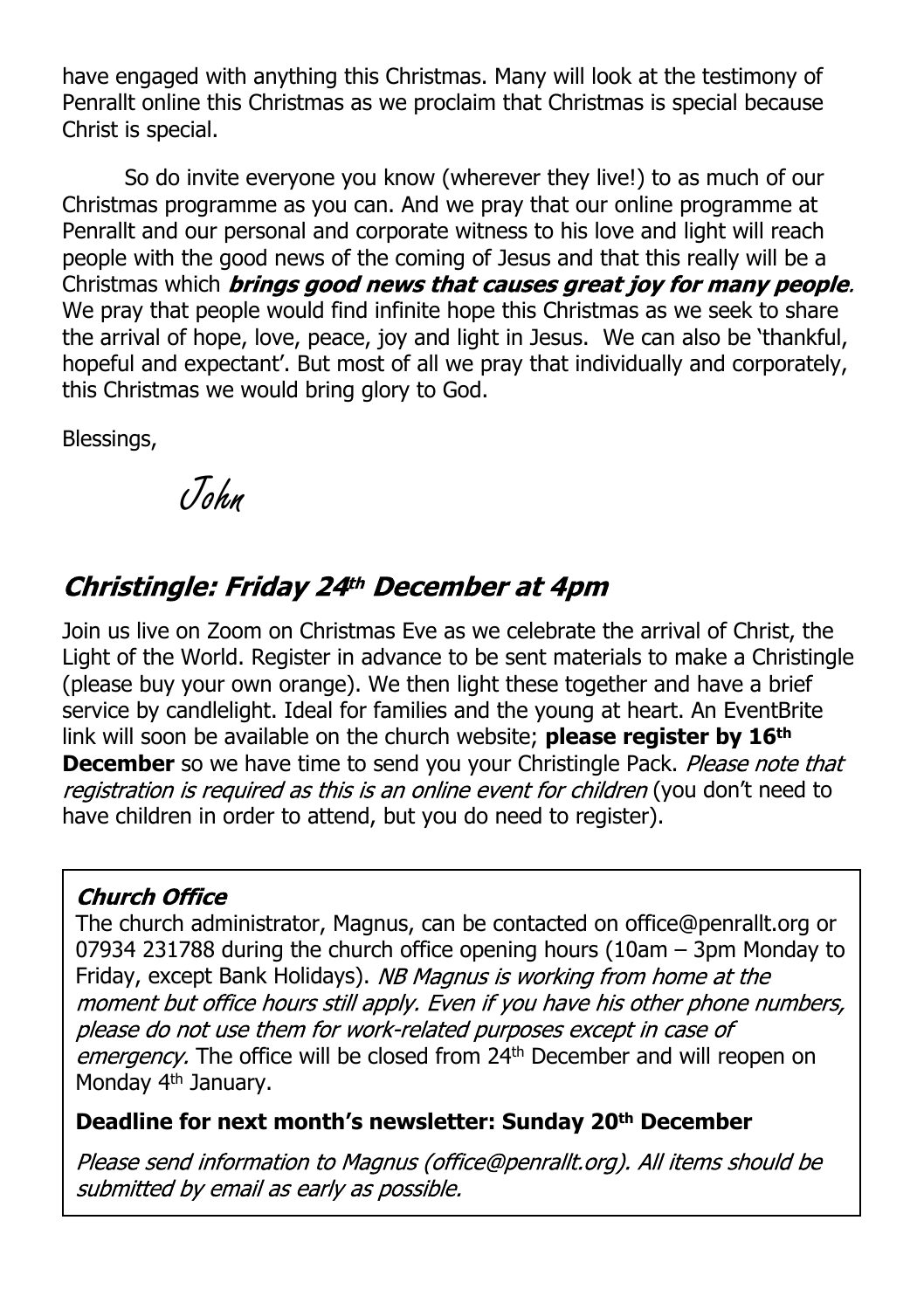have engaged with anything this Christmas. Many will look at the testimony of Penrallt online this Christmas as we proclaim that Christmas is special because Christ is special.

So do invite everyone you know (wherever they live!) to as much of our Christmas programme as you can. And we pray that our online programme at Penrallt and our personal and corporate witness to his love and light will reach people with the good news of the coming of Jesus and that this really will be a Christmas which **brings good news that causes great joy for many people.** We pray that people would find infinite hope this Christmas as we seek to share the arrival of hope, love, peace, joy and light in Jesus. We can also be 'thankful, hopeful and expectant'. But most of all we pray that individually and corporately, this Christmas we would bring glory to God.

Blessings,

John

# Christingle: Friday 24th December at 4pm

Join us live on Zoom on Christmas Eve as we celebrate the arrival of Christ, the Light of the World. Register in advance to be sent materials to make a Christingle (please buy your own orange). We then light these together and have a brief service by candlelight. Ideal for families and the young at heart. An EventBrite link will soon be available on the church website; **please register by 16th December** so we have time to send you your Christingle Pack. Please note that registration is reguired as this is an online event for children (you don't need to have children in order to attend, but you do need to register).

#### **Church Office**

The church administrator, Magnus, can be contacted on office@penrallt.org or 07934 231788 during the church office opening hours (10am – 3pm Monday to Friday, except Bank Holidays). NB Magnus is working from home at the moment but office hours still apply. Even if you have his other phone numbers, please do not use them for work-related purposes except in case of emergency. The office will be closed from 24<sup>th</sup> December and will reopen on Monday 4<sup>th</sup> January.

#### **Deadline for next month's newsletter: Sunday 20th December**

Please send information to Magnus (office@penrallt.org). All items should be submitted by email as early as possible.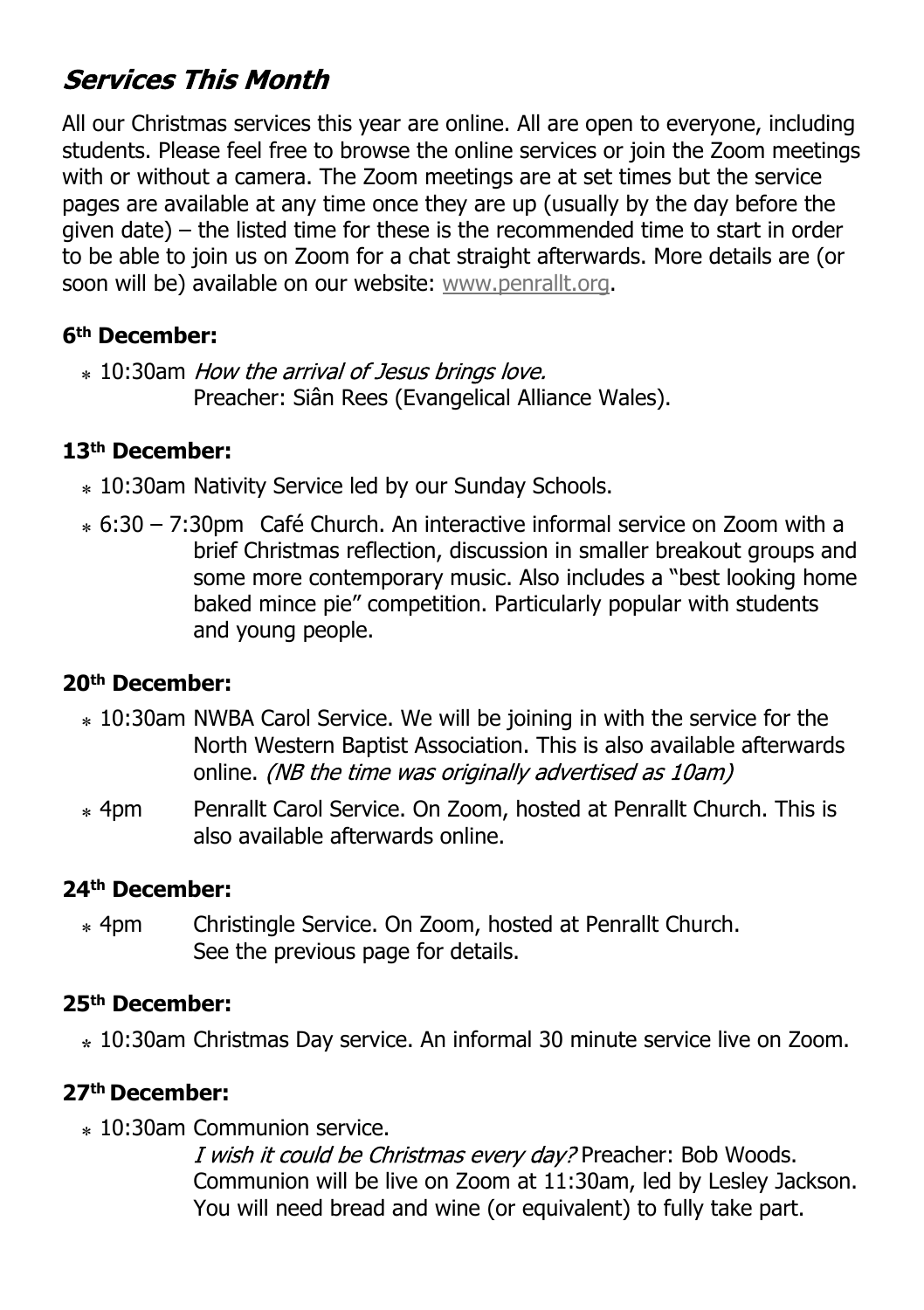# **Services This Month**

All our Christmas services this year are online. All are open to everyone, including students. Please feel free to browse the online services or join the Zoom meetings with or without a camera. The Zoom meetings are at set times but the service pages are available at any time once they are up (usually by the day before the given date) – the listed time for these is the recommended time to start in order to be able to join us on Zoom for a chat straight afterwards. More details are (or soon will be) available on our website: [www.penrallt.org](https://www.penrallt.org/home/index.php).

#### **6th December:**

 $*$  10:30am *How the arrival of Jesus brings love.* Preacher: Siân Rees (Evangelical Alliance Wales).

#### **13th December:**

- ⁎ 10:30am Nativity Service led by our Sunday Schools.
- ⁎ 6:30 7:30pm Café Church. An interactive informal service on Zoom with a brief Christmas reflection, discussion in smaller breakout groups and some more contemporary music. Also includes a "best looking home baked mince pie" competition. Particularly popular with students and young people.

#### **20th December:**

- ⁎ 10:30am NWBA Carol Service. We will be joining in with the service for the North Western Baptist Association. This is also available afterwards online. *(NB the time was originally advertised as 10am)*
- ⁎ 4pm Penrallt Carol Service. On Zoom, hosted at Penrallt Church. This is also available afterwards online.

#### **24th December:**

⁎ 4pm Christingle Service. On Zoom, hosted at Penrallt Church. See the previous page for details.

#### **25th December:**

**⁎** 10:30am Christmas Day service. An informal 30 minute service live on Zoom.

#### **27th December:**

⁎ 10:30am Communion service.

I wish it could be Christmas every day? Preacher: Bob Woods. Communion will be live on Zoom at 11:30am, led by Lesley Jackson. You will need bread and wine (or equivalent) to fully take part.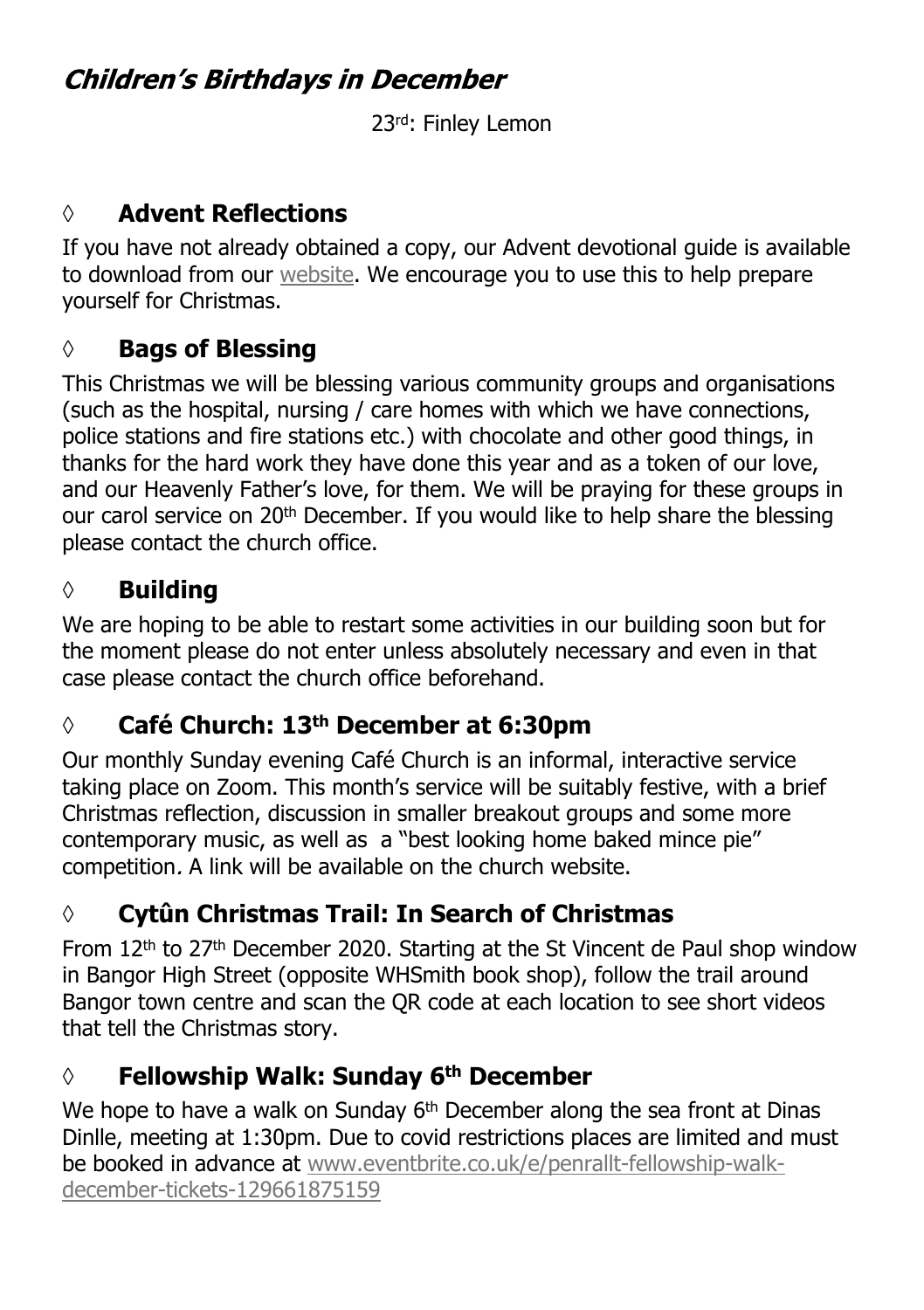# **Children's Birthdays in December**

23rd: Finley Lemon

### **◊ Advent Reflections**

If you have not already obtained a copy, our Advent devotional guide is available to download from our [website.](https://www.penrallt.org/services/online/advent/AdventDevotional2020.pdf) We encourage you to use this to help prepare yourself for Christmas.

#### **◊ Bags of Blessing**

This Christmas we will be blessing various community groups and organisations (such as the hospital, nursing / care homes with which we have connections, police stations and fire stations etc.) with chocolate and other good things, in thanks for the hard work they have done this year and as a token of our love, and our Heavenly Father's love, for them. We will be praying for these groups in our carol service on 20<sup>th</sup> December. If you would like to help share the blessing please contact the church office.

#### **◊ Building**

We are hoping to be able to restart some activities in our building soon but for the moment please do not enter unless absolutely necessary and even in that case please contact the church office beforehand.

### **◊ Café Church: 13th December at 6:30pm**

Our monthly Sunday evening Café Church is an informal, interactive service taking place on Zoom. This month's service will be suitably festive, with a brief Christmas reflection, discussion in smaller breakout groups and some more contemporary music, as well as a "best looking home baked mince pie" competition. A link will be available on the church website.

# **◊ Cytûn Christmas Trail: In Search of Christmas**

From 12<sup>th</sup> to 27<sup>th</sup> December 2020. Starting at the St Vincent de Paul shop window in Bangor High Street (opposite WHSmith book shop), follow the trail around Bangor town centre and scan the QR code at each location to see short videos that tell the Christmas story.

### **◊ Fellowship Walk: Sunday 6th December**

We hope to have a walk on Sunday  $6<sup>th</sup>$  December along the sea front at Dinas Dinlle, meeting at 1:30pm. Due to covid restrictions places are limited and must be booked in advance at [www.eventbrite.co.uk/e/penrallt-fellowship-walk](https://www.eventbrite.co.uk/e/penrallt-fellowship-walk-december-tickets-129661875159)[december-tickets-129661875159](https://www.eventbrite.co.uk/e/penrallt-fellowship-walk-december-tickets-129661875159)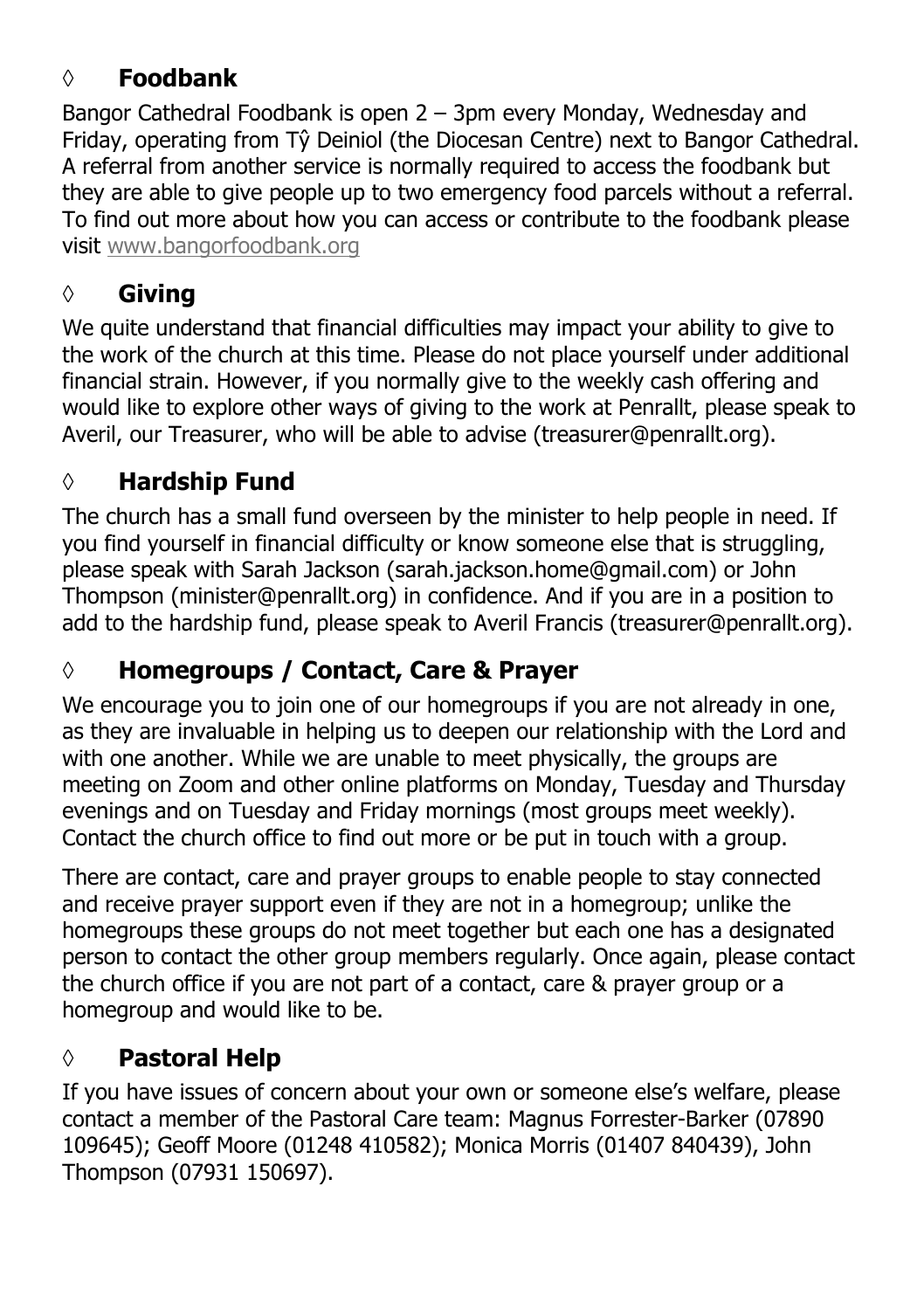## **◊ Foodbank**

Bangor Cathedral Foodbank is open 2 – 3pm every Monday, Wednesday and Friday, operating from Tŷ Deiniol (the Diocesan Centre) next to Bangor Cathedral. A referral from another service is normally required to access the foodbank but they are able to give people up to two emergency food parcels without a referral. To find out more about how you can access or contribute to the foodbank please visit [www.bangorfoodbank.org](https://www.bangorfoodbank.org)

### **◊ Giving**

We quite understand that financial difficulties may impact your ability to give to the work of the church at this time. Please do not place yourself under additional financial strain. However, if you normally give to the weekly cash offering and would like to explore other ways of giving to the work at Penrallt, please speak to Averil, our Treasurer, who will be able to advise (treasurer@penrallt.org).

### **◊ Hardship Fund**

The church has a small fund overseen by the minister to help people in need. If you find yourself in financial difficulty or know someone else that is struggling, please speak with Sarah Jackson (sarah.jackson.home@gmail.com) or John Thompson (minister@penrallt.org) in confidence. And if you are in a position to add to the hardship fund, please speak to Averil Francis (treasurer@penrallt.org).

# **◊ Homegroups / Contact, Care & Prayer**

We encourage you to join one of our homegroups if you are not already in one, as they are invaluable in helping us to deepen our relationship with the Lord and with one another. While we are unable to meet physically, the groups are meeting on Zoom and other online platforms on Monday, Tuesday and Thursday evenings and on Tuesday and Friday mornings (most groups meet weekly). Contact the church office to find out more or be put in touch with a group.

There are contact, care and prayer groups to enable people to stay connected and receive prayer support even if they are not in a homegroup; unlike the homegroups these groups do not meet together but each one has a designated person to contact the other group members regularly. Once again, please contact the church office if you are not part of a contact, care & prayer group or a homegroup and would like to be.

### **◊ Pastoral Help**

If you have issues of concern about your own or someone else's welfare, please contact a member of the Pastoral Care team: Magnus Forrester-Barker (07890 109645); Geoff Moore (01248 410582); Monica Morris (01407 840439), John Thompson (07931 150697).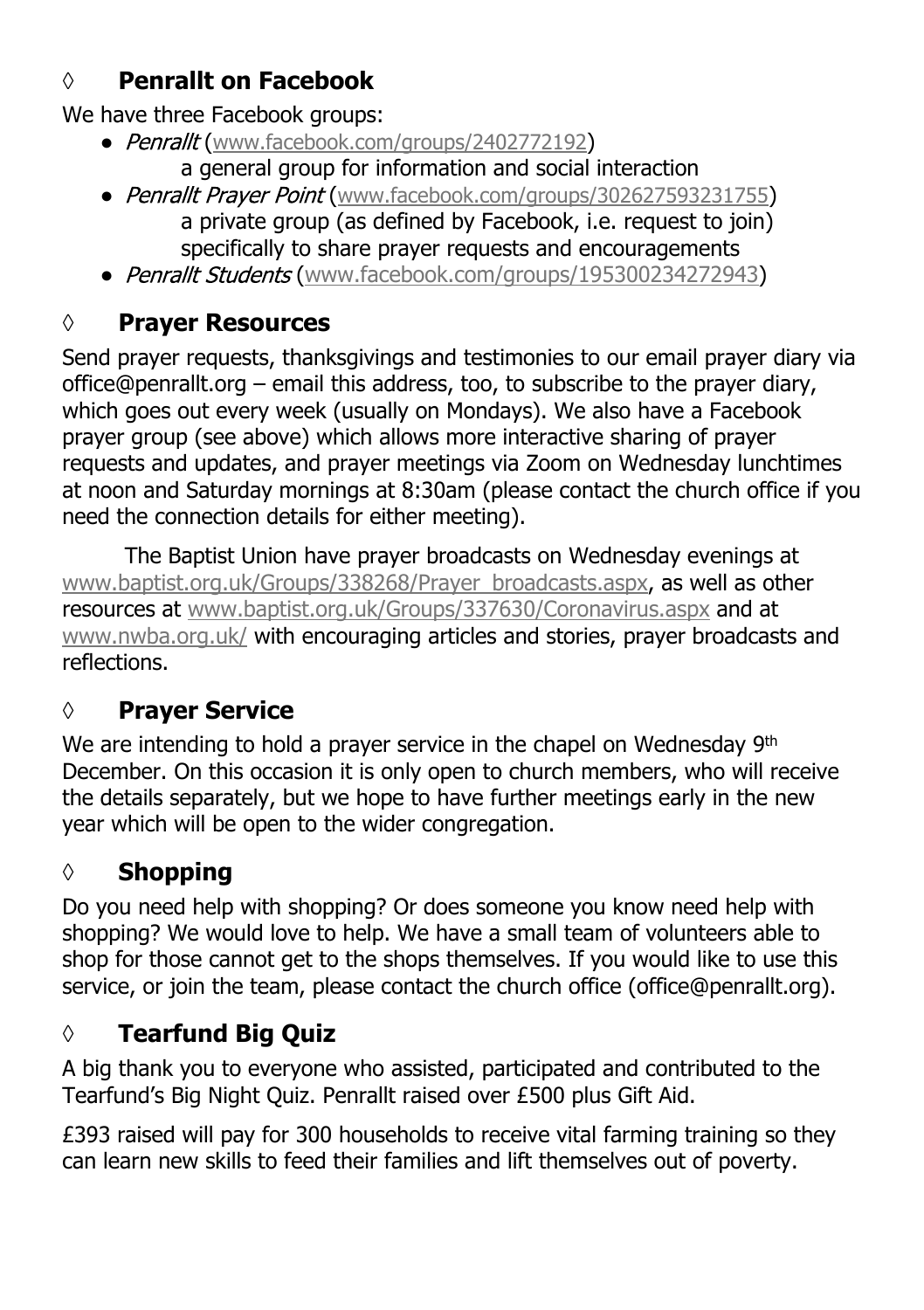# **◊ Penrallt on Facebook**

We have three Facebook groups:

- Penrallt ([www.facebook.com/groups/2402772192](https://www.facebook.com/groups/2402772192)) a general group for information and social interaction
- Penrallt Praver Point ([www.facebook.com/groups/302627593231755](https://www.facebook.com/groups/302627593231755)) a private group (as defined by Facebook, i.e. request to join) specifically to share prayer requests and encouragements
- Penrallt Students ([www.facebook.com/groups/195300234272943\)](https://www.facebook.com/groups/195300234272943)

# **◊ Prayer Resources**

Send prayer requests, thanksgivings and testimonies to our email prayer diary via office@penrallt.org – email this address, too, to subscribe to the prayer diary, which goes out every week (usually on Mondays). We also have a Facebook prayer group (see above) which allows more interactive sharing of prayer requests and updates, and prayer meetings via Zoom on Wednesday lunchtimes at noon and Saturday mornings at 8:30am (please contact the church office if you need the connection details for either meeting).

The Baptist Union have prayer broadcasts on Wednesday evenings at [www.baptist.org.uk/Groups/338268/Prayer\\_broadcasts.aspx](https://www.baptist.org.uk/Groups/338268/Prayer_broadcasts.aspx), as well as other resources at [www.baptist.org.uk/Groups/337630/Coronavirus.aspx](https://www.baptist.org.uk/Groups/337630/Coronavirus.aspx) and at [www.nwba.org.uk/](http://www.nwba.org.uk/) with encouraging articles and stories, prayer broadcasts and reflections.

# **◊ Prayer Service**

We are intending to hold a prayer service in the chapel on Wednesday 9th December. On this occasion it is only open to church members, who will receive the details separately, but we hope to have further meetings early in the new year which will be open to the wider congregation.

# **◊ Shopping**

Do you need help with shopping? Or does someone you know need help with shopping? We would love to help. We have a small team of volunteers able to shop for those cannot get to the shops themselves. If you would like to use this service, or join the team, please contact the church office (office@penrallt.org).

# **◊ Tearfund Big Quiz**

A big thank you to everyone who assisted, participated and contributed to the Tearfund's Big Night Quiz. Penrallt raised over £500 plus Gift Aid.

£393 raised will pay for 300 households to receive vital farming training so they can learn new skills to feed their families and lift themselves out of poverty.